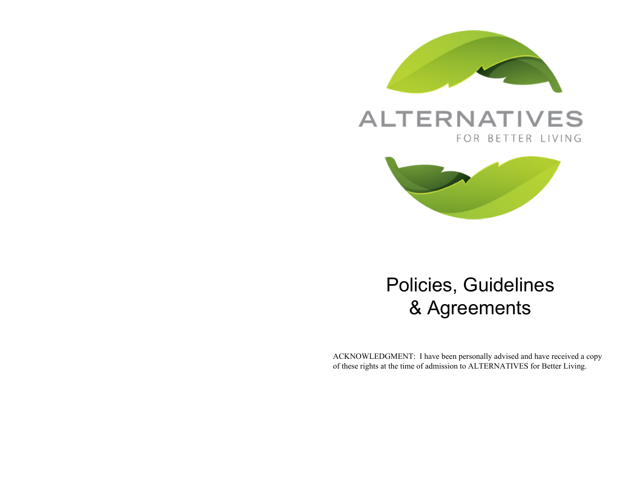

## **ALTERNATIVES** FOR BETTER LIVING



# Policies, Guidelines & Agreements

ACKNOWLEDGMENT: I have been personally advised and have received a copy of these rights at the time of admission to ALTERNATIVES for Better Living.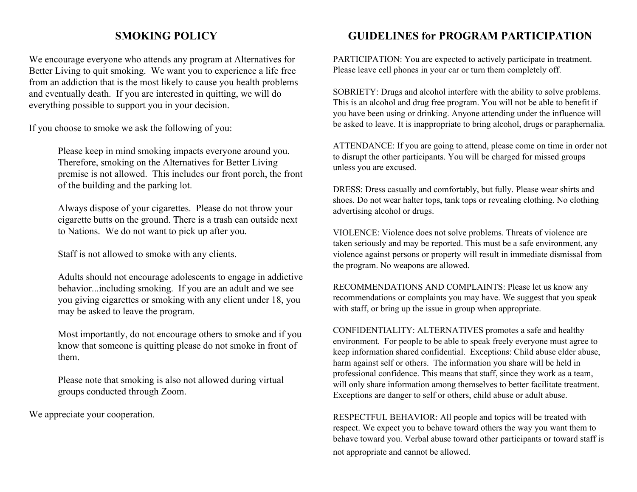#### **SMOKING POLICY**

We encourage everyone who attends any program at Alternatives for Better Living to quit smoking. We want you to experience a life free from an addiction that is the most likely to cause you health problems and eventually death. If you are interested in quitting, we will do everything possible to support you in your decision.

If you choose to smoke we ask the following of you:

Please keep in mind smoking impacts everyone around you. Therefore, smoking on the Alternatives for Better Living premise is not allowed. This includes our front porch, the front of the building and the parking lot.

Always dispose of your cigarettes. Please do not throw your cigarette butts on the ground. There is a trash can outside next to Nations. We do not want to pick up after you.

Staff is not allowed to smoke with any clients.

Adults should not encourage adolescents to engage in addictive behavior...including smoking. If you are an adult and we see you giving cigarettes or smoking with any client under 18, you may be asked to leave the program.

Most importantly, do not encourage others to smoke and if you know that someone is quitting please do not smoke in front of them.

Please note that smoking is also not allowed during virtual groups conducted through Zoom.

We appreciate your cooperation.

#### **GUIDELINES for PROGRAM PARTICIPATION**

PARTICIPATION: You are expected to actively participate in treatment. Please leave cell phones in your car or turn them completely off.

SOBRIETY: Drugs and alcohol interfere with the ability to solve problems. This is an alcohol and drug free program. You will not be able to benefit if you have been using or drinking. Anyone attending under the influence will be asked to leave. It is inappropriate to bring alcohol, drugs or paraphernalia.

ATTENDANCE: If you are going to attend, please come on time in order not to disrupt the other participants. You will be charged for missed groups unless you are excused.

DRESS: Dress casually and comfortably, but fully. Please wear shirts and shoes. Do not wear halter tops, tank tops or revealing clothing. No clothing advertising alcohol or drugs.

VIOLENCE: Violence does not solve problems. Threats of violence are taken seriously and may be reported. This must be a safe environment, any violence against persons or property will result in immediate dismissal from the program. No weapons are allowed.

RECOMMENDATIONS AND COMPLAINTS: Please let us know any recommendations or complaints you may have. We suggest that you speak with staff, or bring up the issue in group when appropriate.

CONFIDENTIALITY: ALTERNATIVES promotes a safe and healthy environment. For people to be able to speak freely everyone must agree to keep information shared confidential. Exceptions: Child abuse elder abuse, harm against self or others. The information you share will be held in professional confidence. This means that staff, since they work as a team, will only share information among themselves to better facilitate treatment. Exceptions are danger to self or others, child abuse or adult abuse.

RESPECTFUL BEHAVIOR: All people and topics will be treated with respect. We expect you to behave toward others the way you want them to behave toward you. Verbal abuse toward other participants or toward staff is not appropriate and cannot be allowed.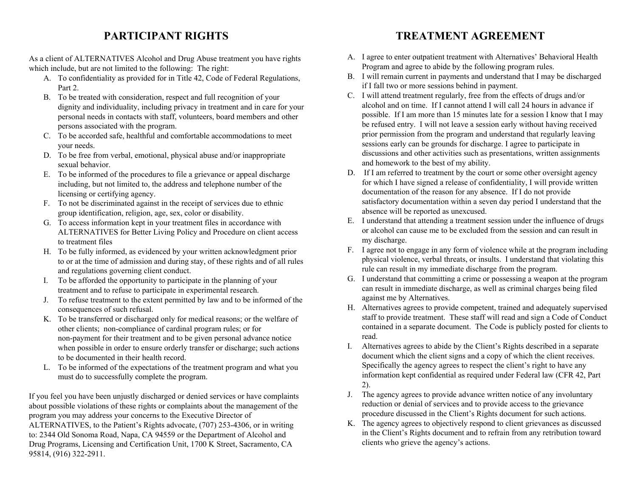#### **PARTICIPANT RIGHTS**

As a client of ALTERNATIVES Alcohol and Drug Abuse treatment you have rights which include, but are not limited to the following: The right:

- A. To confidentiality as provided for in Title 42, Code of Federal Regulations, Part 2.
- B. To be treated with consideration, respect and full recognition of your dignity and individuality, including privacy in treatment and in care for your personal needs in contacts with staff, volunteers, board members and other persons associated with the program.
- C. To be accorded safe, healthful and comfortable accommodations to meet your needs.
- D. To be free from verbal, emotional, physical abuse and/or inappropriate sexual behavior.
- E. To be informed of the procedures to file a grievance or appeal discharge including, but not limited to, the address and telephone number of the licensing or certifying agency.
- F. To not be discriminated against in the receipt of services due to ethnic group identification, religion, age, sex, color or disability.
- G. To access information kept in your treatment files in accordance with ALTERNATIVES for Better Living Policy and Procedure on client access to treatment files
- H. To be fully informed, as evidenced by your written acknowledgment prior to or at the time of admission and during stay, of these rights and of all rules and regulations governing client conduct.
- I. To be afforded the opportunity to participate in the planning of your treatment and to refuse to participate in experimental research.
- J. To refuse treatment to the extent permitted by law and to be informed of the consequences of such refusal.
- K. To be transferred or discharged only for medical reasons; or the welfare of other clients; non-compliance of cardinal program rules; or for non-payment for their treatment and to be given personal advance notice when possible in order to ensure orderly transfer or discharge; such actions to be documented in their health record.
- L. To be informed of the expectations of the treatment program and what you must do to successfully complete the program.

If you feel you have been unjustly discharged or denied services or have complaints about possible violations of these rights or complaints about the management of the program you may address your concerns to the Executive Director of ALTERNATIVES, to the Patient's Rights advocate, (707) 253-4306, or in writing to: 2344 Old Sonoma Road, Napa, CA 94559 or the Department of Alcohol and Drug Programs, Licensing and Certification Unit, 1700 K Street, Sacramento, CA 95814, (916) 322-2911.

#### **TREATMENT AGREEMENT**

- A. I agree to enter outpatient treatment with Alternatives' Behavioral Health Program and agree to abide by the following program rules.
- B. I will remain current in payments and understand that I may be discharged if I fall two or more sessions behind in payment.
- C. I will attend treatment regularly, free from the effects of drugs and/or alcohol and on time. If I cannot attend I will call 24 hours in advance if possible. If I am more than 15 minutes late for a session I know that I may be refused entry. I will not leave a session early without having received prior permission from the program and understand that regularly leaving sessions early can be grounds for discharge. I agree to participate in discussions and other activities such as presentations, written assignments and homework to the best of my ability.
- D. If I am referred to treatment by the court or some other oversight agency for which I have signed a release of confidentiality, I will provide written documentation of the reason for any absence. If I do not provide satisfactory documentation within a seven day period I understand that the absence will be reported as unexcused.
- E. I understand that attending a treatment session under the influence of drugs or alcohol can cause me to be excluded from the session and can result in my discharge.
- F. I agree not to engage in any form of violence while at the program including physical violence, verbal threats, or insults. I understand that violating this rule can result in my immediate discharge from the program.
- G. I understand that committing a crime or possessing a weapon at the program can result in immediate discharge, as well as criminal charges being filed against me by Alternatives.
- H. Alternatives agrees to provide competent, trained and adequately supervised staff to provide treatment. These staff will read and sign a Code of Conduct contained in a separate document. The Code is publicly posted for clients to read.
- I. Alternatives agrees to abide by the Client's Rights described in a separate document which the client signs and a copy of which the client receives. Specifically the agency agrees to respect the client's right to have any information kept confidential as required under Federal law (CFR 42, Part 2).
- J. The agency agrees to provide advance written notice of any involuntary reduction or denial of services and to provide access to the grievance procedure discussed in the Client's Rights document for such actions.
- K. The agency agrees to objectively respond to client grievances as discussed in the Client's Rights document and to refrain from any retribution toward clients who grieve the agency's actions.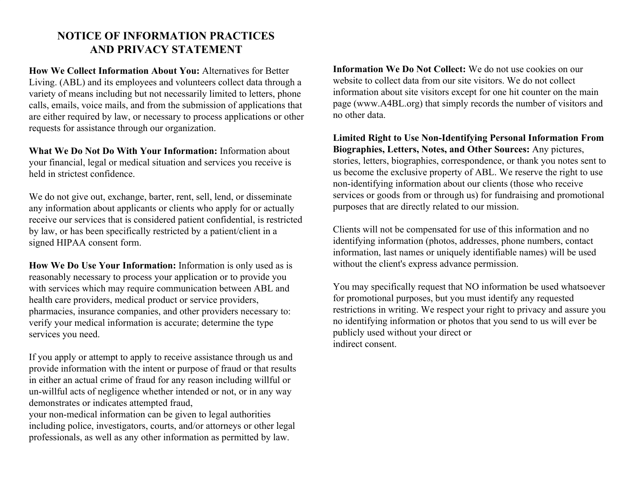#### **NOTICE OF INFORMATION PRACTICES AND PRIVACY STATEMENT**

**How We Collect Information About You:** Alternatives for Better Living. (ABL) and its employees and volunteers collect data through a variety of means including but not necessarily limited to letters, phone calls, emails, voice mails, and from the submission of applications that are either required by law, or necessary to process applications or other requests for assistance through our organization.

**What We Do Not Do With Your Information:** Information about your financial, legal or medical situation and services you receive is held in strictest confidence.

We do not give out, exchange, barter, rent, sell, lend, or disseminate any information about applicants or clients who apply for or actually receive our services that is considered patient confidential, is restricted by law, or has been specifically restricted by a patient/client in a signed HIPAA consent form.

**How We Do Use Your Information:** Information is only used as is reasonably necessary to process your application or to provide you with services which may require communication between ABL and health care providers, medical product or service providers, pharmacies, insurance companies, and other providers necessary to: verify your medical information is accurate; determine the type services you need.

If you apply or attempt to apply to receive assistance through us and provide information with the intent or purpose of fraud or that results in either an actual crime of fraud for any reason including willful or un-willful acts of negligence whether intended or not, or in any way demonstrates or indicates attempted fraud,

your non-medical information can be given to legal authorities including police, investigators, courts, and/or attorneys or other legal professionals, as well as any other information as permitted by law.

**Information We Do Not Collect:** We do not use cookies on our website to collect data from our site visitors. We do not collect information about site visitors except for one hit counter on the main page (www.A4BL.org) that simply records the number of visitors and no other data.

**Limited Right to Use Non-Identifying Personal Information From Biographies, Letters, Notes, and Other Sources:** Any pictures, stories, letters, biographies, correspondence, or thank you notes sent to us become the exclusive property of ABL. We reserve the right to use non-identifying information about our clients (those who receive services or goods from or through us) for fundraising and promotional purposes that are directly related to our mission.

Clients will not be compensated for use of this information and no identifying information (photos, addresses, phone numbers, contact information, last names or uniquely identifiable names) will be used without the client's express advance permission.

You may specifically request that NO information be used whatsoever for promotional purposes, but you must identify any requested restrictions in writing. We respect your right to privacy and assure you no identifying information or photos that you send to us will ever be publicly used without your direct or indirect consent.